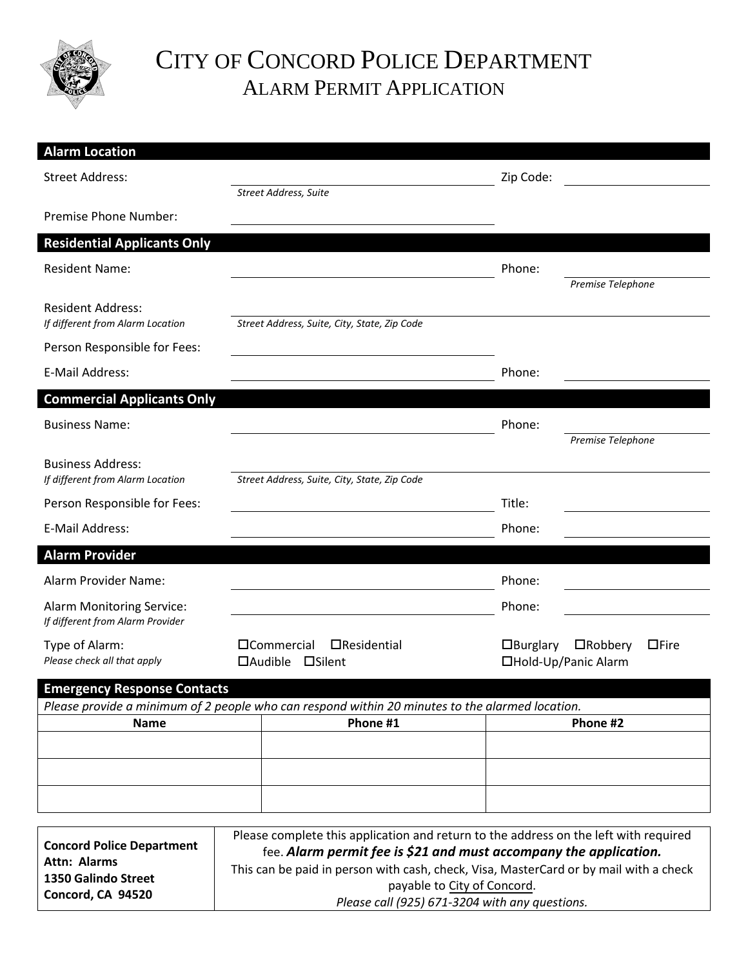

**1350 Galindo Street Concord, CA 94520**

# CITY OF CONCORD POLICE DEPARTMENT ALARM PERMIT APPLICATION

| <b>Alarm Location</b>                                                |                                                                                                                                                           |                                                                                                             |                 |                                                       |
|----------------------------------------------------------------------|-----------------------------------------------------------------------------------------------------------------------------------------------------------|-------------------------------------------------------------------------------------------------------------|-----------------|-------------------------------------------------------|
| <b>Street Address:</b>                                               |                                                                                                                                                           |                                                                                                             | Zip Code:       |                                                       |
|                                                                      |                                                                                                                                                           | Street Address, Suite                                                                                       |                 |                                                       |
| Premise Phone Number:                                                |                                                                                                                                                           |                                                                                                             |                 |                                                       |
| <b>Residential Applicants Only</b>                                   |                                                                                                                                                           |                                                                                                             |                 |                                                       |
| <b>Resident Name:</b>                                                |                                                                                                                                                           |                                                                                                             | Phone:          |                                                       |
|                                                                      |                                                                                                                                                           |                                                                                                             |                 | Premise Telephone                                     |
| <b>Resident Address:</b><br>If different from Alarm Location         |                                                                                                                                                           | Street Address, Suite, City, State, Zip Code                                                                |                 |                                                       |
| Person Responsible for Fees:                                         |                                                                                                                                                           |                                                                                                             |                 |                                                       |
| E-Mail Address:                                                      |                                                                                                                                                           |                                                                                                             | Phone:          |                                                       |
| <b>Commercial Applicants Only</b>                                    |                                                                                                                                                           |                                                                                                             |                 |                                                       |
| <b>Business Name:</b>                                                |                                                                                                                                                           |                                                                                                             | Phone:          |                                                       |
|                                                                      |                                                                                                                                                           |                                                                                                             |                 | Premise Telephone                                     |
| <b>Business Address:</b>                                             |                                                                                                                                                           |                                                                                                             |                 |                                                       |
| If different from Alarm Location                                     |                                                                                                                                                           | Street Address, Suite, City, State, Zip Code                                                                |                 |                                                       |
| Person Responsible for Fees:                                         |                                                                                                                                                           |                                                                                                             | Title:          |                                                       |
| E-Mail Address:                                                      |                                                                                                                                                           |                                                                                                             | Phone:          |                                                       |
| <b>Alarm Provider</b>                                                |                                                                                                                                                           |                                                                                                             |                 |                                                       |
| Alarm Provider Name:                                                 |                                                                                                                                                           |                                                                                                             | Phone:          |                                                       |
| <b>Alarm Monitoring Service:</b><br>If different from Alarm Provider |                                                                                                                                                           |                                                                                                             | Phone:          |                                                       |
| Type of Alarm:<br>Please check all that apply                        |                                                                                                                                                           | □Commercial<br>$\Box$ Residential<br>$\Box$ Audible<br>□Silent                                              | $\Box$ Burglary | $\Box$ Fire<br>$\Box$ Robbery<br>□Hold-Up/Panic Alarm |
| <b>Emergency Response Contacts</b>                                   |                                                                                                                                                           |                                                                                                             |                 |                                                       |
|                                                                      |                                                                                                                                                           | Please provide a minimum of 2 people who can respond within 20 minutes to the alarmed location.<br>Phone #1 |                 | Phone #2                                              |
| <b>Name</b>                                                          |                                                                                                                                                           |                                                                                                             |                 |                                                       |
|                                                                      |                                                                                                                                                           |                                                                                                             |                 |                                                       |
|                                                                      |                                                                                                                                                           |                                                                                                             |                 |                                                       |
|                                                                      |                                                                                                                                                           |                                                                                                             |                 |                                                       |
|                                                                      |                                                                                                                                                           |                                                                                                             |                 |                                                       |
| <b>Concord Police Department</b>                                     | Please complete this application and return to the address on the left with required<br>fee. Alarm permit fee is \$21 and must accompany the application. |                                                                                                             |                 |                                                       |
| <b>Attn: Alarms</b>                                                  | This can be paid in person with cash, check, Visa, MasterCard or by mail with a check                                                                     |                                                                                                             |                 |                                                       |

payable to City of Concord. *Please call (925) 671-3204 with any questions.*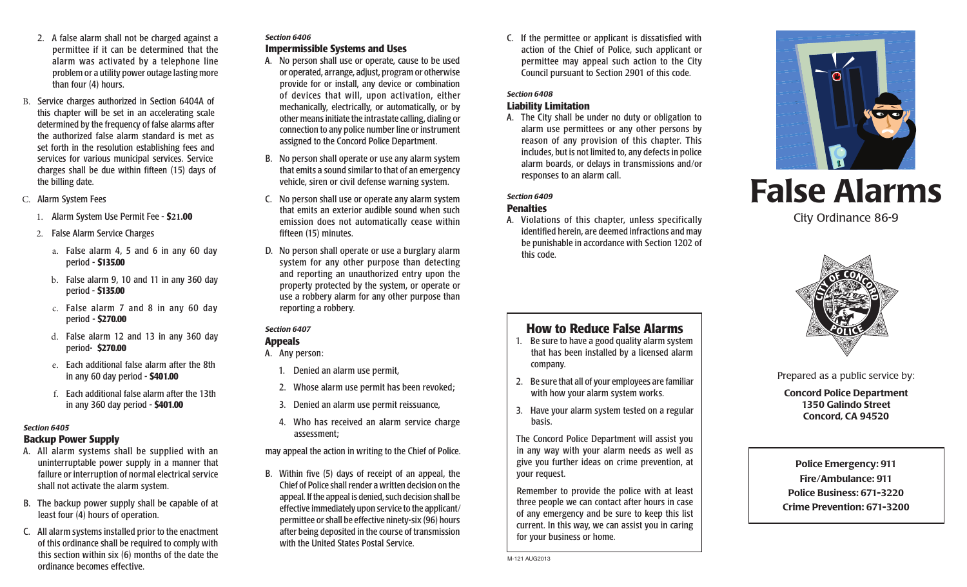- 2. A false alarm shall not be charged against a permittee if it can be determined that the alarm was activated by a telephone line problem or a utility power outage lasting more than four (4) hours.
- B. Service charges authorized in Section 6404A of this chapter will be set in an accelerating scale determined by the frequency of false alarms after the authorized false alarm standard is met as set forth in the resolution establishing fees and services for various municipal services. Service charges shall be due within fifteen (15) days of the billing date.
- C. Alarm System Fees
	- 1. Alarm System Use Permit Fee **\$21.00**
	- 2. False Alarm Service Charges
		- a. False alarm 4, 5 and 6 in any 60 day period - **\$135.00**
		- b. False alarm 9, 10 and 11 in any 360 day period - **\$135.00**
		- c. False alarm 7 and 8 in any 60 day period - **\$270.00**
		- d. False alarm 12 and 13 in any 360 day period - **\$270.00**
		- e. Each additional false alarm after the 8th in any 60 day period - **\$401.00**
		- f. Each additional false alarm after the 13th in any 360 day period - **\$401.00**

### *Section 6405*

### **Backup Power Supply**

- A. All alarm systems shall be supplied with an uninterruptable power supply in a manner that failure or interruption of normal electrical service shall not activate the alarm system.
- B. The backup power supply shall be capable of at least four (4) hours of operation.
- C. All alarm systems installed prior to the enactment of this ordinance shall be required to comply with this section within six (6) months of the date the ordinance becomes effective.

### *Section 6406*  **Impermissible Systems and Uses**

- A. No person shall use or operate, cause to be used or operated, arrange, adjust, program or otherwise provide for or install, any device or combination of devices that will, upon activation, either mechanically, electrically, or automatically, or by other means initiate the intrastate calling, dialing or connection to any police number line or instrument assigned to the Concord Police Department.
- B. No person shall operate or use any alarm system that emits a sound similar to that of an emergency vehicle, siren or civil defense warning system.
- C. No person shall use or operate any alarm system that emits an exterior audible sound when such emission does not automatically cease within fifteen (15) minutes.
- D. No person shall operate or use a burglary alarm system for any other purpose than detecting and reporting an unauthorized entry upon the property protected by the system, or operate or use a robbery alarm for any other purpose than reporting a robbery.

# *Section 6407*

#### **Appeals** A. Any person:

- 
- 1. Denied an alarm use permit,
- 2. Whose alarm use permit has been revoked;
- 3. Denied an alarm use permit reissuance,
- 4. Who has received an alarm service charge assessment;
- may appeal the action in writing to the Chief of Police.
- B. Within five (5) days of receipt of an appeal, the Chief of Police shall render a written decision on the appeal. If the appeal is denied, such decision shall be effective immediately upon service to the applicant/ permittee or shall be effective ninety-six (96) hours after being deposited in the course of transmission with the United States Postal Service.

C. If the permittee or applicant is dissatisfied with action of the Chief of Police, such applicant or permittee may appeal such action to the City Council pursuant to Section 2901 of this code.

### *Section 6408*

### **Liability Limitation**

A. The City shall be under no duty or obligation to alarm use permittees or any other persons by reason of any provision of this chapter. This includes, but is not limited to, any defects in police alarm boards, or delays in transmissions and/or responses to an alarm call.

### *Section 6409*  **Penalties**

A. Violations of this chapter, unless specifically identified herein, are deemed infractions and may be punishable in accordance with Section 1202 of this code.

# **How to Reduce False Alarms**

- 1. Be sure to have a good quality alarm system that has been installed by a licensed alarm company.
- 2. Be sure that all of your employees are familiar with how your alarm system works.
- 3. Have your alarm system tested on a regular basis.

The Concord Police Department will assist you in any way with your alarm needs as well as give you further ideas on crime prevention, at your request.

Remember to provide the police with at least three people we can contact after hours in case of any emergency and be sure to keep this list current. In this way, we can assist you in caring for your business or home.



# False Alarms

City Ordinance 86-9



Prepared as a public service by:

Concord Police Department 1350 Galindo Street Concord, CA 94520

Police Emergency: 911 Fire/Ambulance: 911 Police Business: 671-3220 Crime Prevention: 671-3200